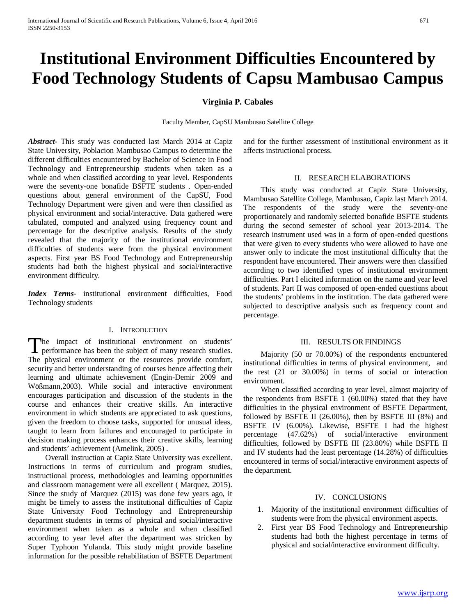# **Institutional Environment Difficulties Encountered by Food Technology Students of Capsu Mambusao Campus**

## **Virginia P. Cabales**

Faculty Member, CapSU Mambusao Satellite College

*Abstract***-** This study was conducted last March 2014 at Capiz State University, Poblacion Mambusao Campus to determine the different difficulties encountered by Bachelor of Science in Food Technology and Entrepreneurship students when taken as a whole and when classified according to year level. Respondents were the seventy-one bonafide BSFTE students . Open-ended questions about general environment of the CapSU, Food Technology Department were given and were then classified as physical environment and social/interactive. Data gathered were tabulated, computed and analyzed using frequency count and percentage for the descriptive analysis. Results of the study revealed that the majority of the institutional environment difficulties of students were from the physical environment aspects. First year BS Food Technology and Entrepreneurship students had both the highest physical and social/interactive environment difficulty.

*Index Terms*- institutional environment difficulties, Food Technology students

#### I. INTRODUCTION

he impact of institutional environment on students' The impact of institutional environment on students' performance has been the subject of many research studies. The physical environment or the resources provide comfort, security and better understanding of courses hence affecting their learning and ultimate achievement (Engin-Demir 2009 and Wößmann,2003). While social and interactive environment encourages participation and discussion of the students in the course and enhances their creative skills. An interactive environment in which students are appreciated to ask questions, given the freedom to choose tasks, supported for unusual ideas, taught to learn from failures and encouraged to participate in decision making process enhances their creative skills, learning and students' achievement (Amelink, 2005) .

 Overall instruction at Capiz State University was excellent. Instructions in terms of curriculum and program studies, instructional process, methodologies and learning opportunities and classroom management were all excellent ( Marquez, 2015). Since the study of Marquez (2015) was done few years ago, it might be timely to assess the institutional difficulties of Capiz State University Food Technology and Entrepreneurship department students in terms of physical and social/interactive environment when taken as a whole and when classified according to year level after the department was stricken by Super Typhoon Yolanda. This study might provide baseline information for the possible rehabilitation of BSFTE Department and for the further assessment of institutional environment as it affects instructional process.

#### II. RESEARCH ELABORATIONS

 This study was conducted at Capiz State University, Mambusao Satellite College, Mambusao, Capiz last March 2014. The respondents of the study were the seventy-one proportionately and randomly selected bonafide BSFTE students during the second semester of school year 2013-2014. The research instrument used was in a form of open-ended questions that were given to every students who were allowed to have one answer only to indicate the most institutional difficulty that the respondent have encountered. Their answers were then classified according to two identified types of institutional environment difficulties. Part I elicited information on the name and year level of students. Part II was composed of open-ended questions about the students' problems in the institution. The data gathered were subjected to descriptive analysis such as frequency count and percentage.

#### III. RESULTS ORFINDINGS

 Majority (50 or 70.00%) of the respondents encountered institutional difficulties in terms of physical environment, and the rest (21 or 30.00%) in terms of social or interaction environment.

 When classified according to year level, almost majority of the respondents from BSFTE 1 (60.00%) stated that they have difficulties in the physical environment of BSFTE Department, followed by BSFTE II (26.00%), then by BSFTE III (8%) and BSFTE IV (6.00%). Likewise, BSFTE I had the highest percentage (47.62%) of social/interactive environment difficulties, followed by BSFTE III (23.80%) while BSFTE II and IV students had the least percentage (14.28%) of difficulties encountered in terms of social/interactive environment aspects of the department.

#### IV. CONCLUSIONS

- 1. Majority of the institutional environment difficulties of students were from the physical environment aspects.
- 2. First year BS Food Technology and Entrepreneurship students had both the highest percentage in terms of physical and social/interactive environment difficulty.